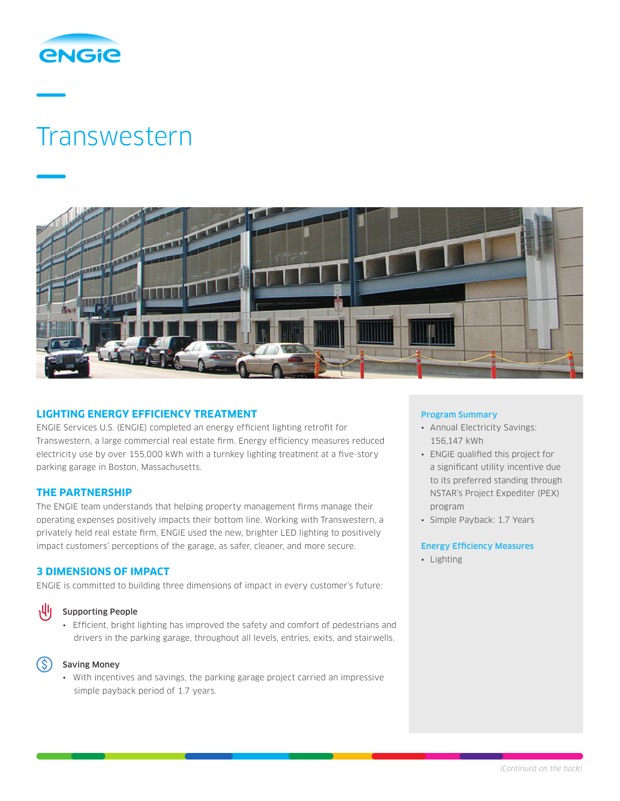

# Transwestern



# **LIGHTING ENERGY EFFICIENCY TREATMENT**

ENGIE Services U.S. (ENGIE) completed an energy efficient lighting retrofit for Transwestern, a large commercial real estate firm. Energy efficiency measures reduced electricity use by over 155,000 kWh with a turnkey lighting treatment at a five-story parking garage in Boston, Massachusetts.

## **THE PARTNERSHIP**

The ENGIE team understands that helping property management firms manage their operating expenses positively impacts their bottom line. Working with Transwestern, a privately held real estate firm, ENGIE used the new, brighter LED lighting to positively impact customers' perceptions of the garage, as safer, cleaner, and more secure.

## **3 DIMENSIONS OF IMPACT**

ENGIE is committed to building three dimensions of impact in every customer's future:

# 州

- Supporting People
- Efficient, bright lighting has improved the safety and comfort of pedestrians and drivers in the parking garage, throughout all levels, entries, exits, and stairwells.



#### Saving Money

• With incentives and savings, the parking garage project carried an impressive simple payback period of 1.7 years.

## Program Summary

- Annual Electricity Savings: 156,147 kWh
- ENGIE qualified this project for a significant utility incentive due to its preferred standing through NSTAR's Project Expediter (PEX) program
- Simple Payback: 1.7 Years

### Energy Efficiency Measures

• Lighting